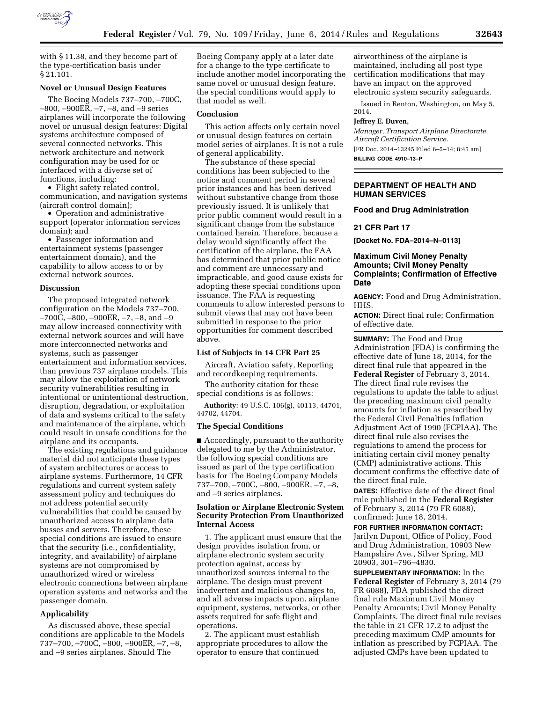

with § 11.38, and they become part of the type-certification basis under § 21.101.

### **Novel or Unusual Design Features**

The Boeing Models 737–700, –700C, –800, –900ER, –7, –8, and –9 series airplanes will incorporate the following novel or unusual design features: Digital systems architecture composed of several connected networks. This network architecture and network configuration may be used for or interfaced with a diverse set of functions, including:

• Flight safety related control, communication, and navigation systems (aircraft control domain);

• Operation and administrative support (operator information services domain); and

• Passenger information and entertainment systems (passenger entertainment domain), and the capability to allow access to or by external network sources.

### **Discussion**

The proposed integrated network configuration on the Models 737–700, –700C, –800, –900ER, –7, –8, and –9 may allow increased connectivity with external network sources and will have more interconnected networks and systems, such as passenger entertainment and information services, than previous 737 airplane models. This may allow the exploitation of network security vulnerabilities resulting in intentional or unintentional destruction, disruption, degradation, or exploitation of data and systems critical to the safety and maintenance of the airplane, which could result in unsafe conditions for the airplane and its occupants.

The existing regulations and guidance material did not anticipate these types of system architectures or access to airplane systems. Furthermore, 14 CFR regulations and current system safety assessment policy and techniques do not address potential security vulnerabilities that could be caused by unauthorized access to airplane data busses and servers. Therefore, these special conditions are issued to ensure that the security (i.e., confidentiality, integrity, and availability) of airplane systems are not compromised by unauthorized wired or wireless electronic connections between airplane operation systems and networks and the passenger domain.

#### **Applicability**

As discussed above, these special conditions are applicable to the Models 737–700, –700C, –800, –900ER, –7, –8, and –9 series airplanes. Should The

Boeing Company apply at a later date for a change to the type certificate to include another model incorporating the same novel or unusual design feature, the special conditions would apply to that model as well.

### **Conclusion**

This action affects only certain novel or unusual design features on certain model series of airplanes. It is not a rule of general applicability.

The substance of these special conditions has been subjected to the notice and comment period in several prior instances and has been derived without substantive change from those previously issued. It is unlikely that prior public comment would result in a significant change from the substance contained herein. Therefore, because a delay would significantly affect the certification of the airplane, the FAA has determined that prior public notice and comment are unnecessary and impracticable, and good cause exists for adopting these special conditions upon issuance. The FAA is requesting comments to allow interested persons to submit views that may not have been submitted in response to the prior opportunities for comment described above.

### **List of Subjects in 14 CFR Part 25**

Aircraft, Aviation safety, Reporting and recordkeeping requirements.

The authority citation for these special conditions is as follows:

**Authority:** 49 U.S.C. 106(g), 40113, 44701, 44702, 44704.

# **The Special Conditions**

■ Accordingly, pursuant to the authority delegated to me by the Administrator, the following special conditions are issued as part of the type certification basis for The Boeing Company Models 737–700, –700C, –800, –900ER, –7, –8, and –9 series airplanes.

# **Isolation or Airplane Electronic System Security Protection From Unauthorized Internal Access**

1. The applicant must ensure that the design provides isolation from, or airplane electronic system security protection against, access by unauthorized sources internal to the airplane. The design must prevent inadvertent and malicious changes to, and all adverse impacts upon, airplane equipment, systems, networks, or other assets required for safe flight and operations.

2. The applicant must establish appropriate procedures to allow the operator to ensure that continued

airworthiness of the airplane is maintained, including all post type certification modifications that may have an impact on the approved electronic system security safeguards.

Issued in Renton, Washington, on May 5, 2014.

### **Jeffrey E. Duven,**

*Manager, Transport Airplane Directorate, Aircraft Certification Service.* 

[FR Doc. 2014–13245 Filed 6–5–14; 8:45 am] **BILLING CODE 4910–13–P** 

# **DEPARTMENT OF HEALTH AND HUMAN SERVICES**

**Food and Drug Administration** 

### **21 CFR Part 17**

**[Docket No. FDA–2014–N–0113]** 

# **Maximum Civil Money Penalty Amounts; Civil Money Penalty Complaints; Confirmation of Effective Date**

**AGENCY:** Food and Drug Administration, HHS.

**ACTION:** Direct final rule; Confirmation of effective date.

**SUMMARY:** The Food and Drug Administration (FDA) is confirming the effective date of June 18, 2014, for the direct final rule that appeared in the **Federal Register** of February 3, 2014. The direct final rule revises the regulations to update the table to adjust the preceding maximum civil penalty amounts for inflation as prescribed by the Federal Civil Penalties Inflation Adjustment Act of 1990 (FCPIAA). The direct final rule also revises the regulations to amend the process for initiating certain civil money penalty (CMP) administrative actions. This document confirms the effective date of the direct final rule.

**DATES:** Effective date of the direct final rule published in the **Federal Register**  of February 3, 2014 (79 FR 6088), confirmed: June 18, 2014.

**FOR FURTHER INFORMATION CONTACT:**  Jarilyn Dupont, Office of Policy, Food and Drug Administration, 10903 New Hampshire Ave., Silver Spring, MD 20903, 301–796–4830.

**SUPPLEMENTARY INFORMATION:** In the **Federal Register** of February 3, 2014 (79 FR 6088), FDA published the direct final rule Maximum Civil Money Penalty Amounts; Civil Money Penalty Complaints. The direct final rule revises the table in 21 CFR 17.2 to adjust the preceding maximum CMP amounts for inflation as prescribed by FCPIAA. The adjusted CMPs have been updated to